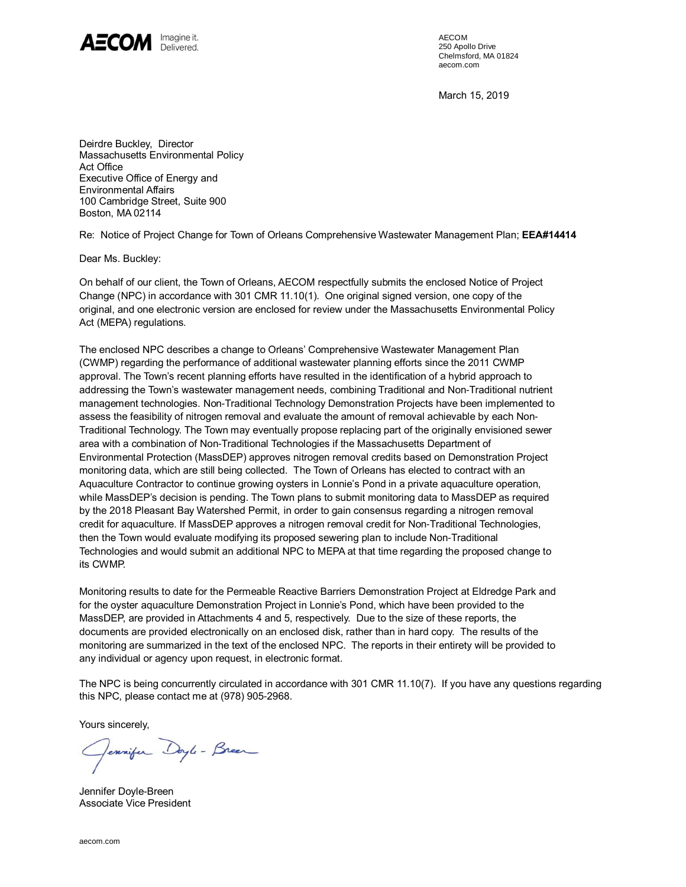

AECOM 250 Apollo Drive Chelmsford, MA 01824 aecom.com

March 15, 2019

Deirdre Buckley, Director Massachusetts Environmental Policy Act Office Executive Office of Energy and Environmental Affairs 100 Cambridge Street, Suite 900 Boston, MA 02114

Re: Notice of Project Change for Town of Orleans Comprehensive Wastewater Management Plan; **EEA#14414**

Dear Ms. Buckley:

On behalf of our client, the Town of Orleans, AECOM respectfully submits the enclosed Notice of Project Change (NPC) in accordance with 301 CMR 11.10(1). One original signed version, one copy of the original, and one electronic version are enclosed for review under the Massachusetts Environmental Policy Act (MEPA) regulations.

The enclosed NPC describes a change to Orleans' Comprehensive Wastewater Management Plan (CWMP) regarding the performance of additional wastewater planning efforts since the 2011 CWMP approval. The Town's recent planning efforts have resulted in the identification of a hybrid approach to addressing the Town's wastewater management needs, combining Traditional and Non-Traditional nutrient management technologies. Non-Traditional Technology Demonstration Projects have been implemented to assess the feasibility of nitrogen removal and evaluate the amount of removal achievable by each Non-Traditional Technology. The Town may eventually propose replacing part of the originally envisioned sewer area with a combination of Non-Traditional Technologies if the Massachusetts Department of Environmental Protection (MassDEP) approves nitrogen removal credits based on Demonstration Project monitoring data, which are still being collected. The Town of Orleans has elected to contract with an Aquaculture Contractor to continue growing oysters in Lonnie's Pond in a private aquaculture operation, while MassDEP's decision is pending. The Town plans to submit monitoring data to MassDEP as required by the 2018 Pleasant Bay Watershed Permit, in order to gain consensus regarding a nitrogen removal credit for aquaculture. If MassDEP approves a nitrogen removal credit for Non-Traditional Technologies, then the Town would evaluate modifying its proposed sewering plan to include Non-Traditional Technologies and would submit an additional NPC to MEPA at that time regarding the proposed change to its CWMP.

Monitoring results to date for the Permeable Reactive Barriers Demonstration Project at Eldredge Park and for the oyster aquaculture Demonstration Project in Lonnie's Pond, which have been provided to the MassDEP, are provided in Attachments 4 and 5, respectively. Due to the size of these reports, the documents are provided electronically on an enclosed disk, rather than in hard copy. The results of the monitoring are summarized in the text of the enclosed NPC. The reports in their entirety will be provided to any individual or agency upon request, in electronic format.

The NPC is being concurrently circulated in accordance with 301 CMR 11.10(7). If you have any questions regarding this NPC, please contact me at (978) 905-2968.

Yours sincerely,

Jennifer Doyle-Breez

Jennifer Doyle-Breen Associate Vice President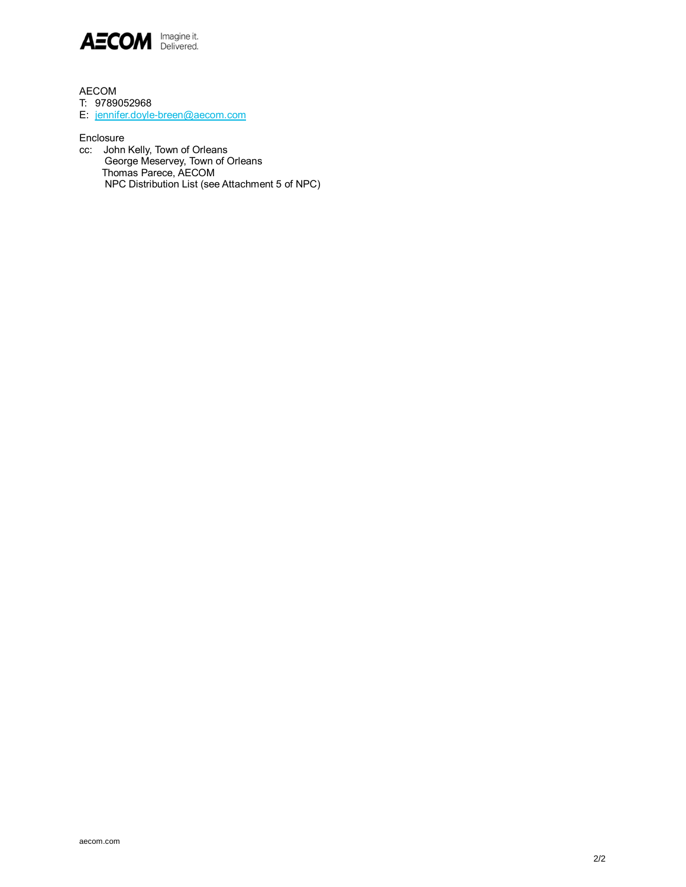

AECOM

T: 9789052968

E: jennifer.doyle-[breen@aecom.com](mailto:jennifer.doyle-breen@aecom.com)

Enclosure

cc: John Kelly, Town of Orleans George Meservey, Town of Orleans Thomas Parece, AECOM NPC Distribution List (see Attachment 5 of NPC)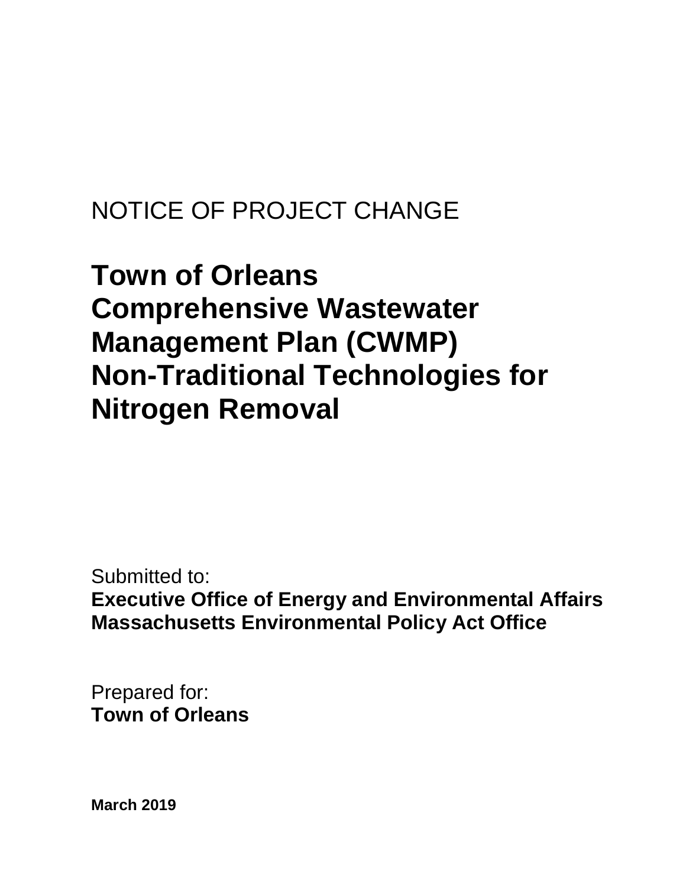# NOTICE OF PROJECT CHANGE

# **Town of Orleans Comprehensive Wastewater Management Plan (CWMP) Non-Traditional Technologies for Nitrogen Removal**

Submitted to: **Executive Office of Energy and Environmental Affairs Massachusetts Environmental Policy Act Office**

Prepared for: **Town of Orleans**

**March 2019**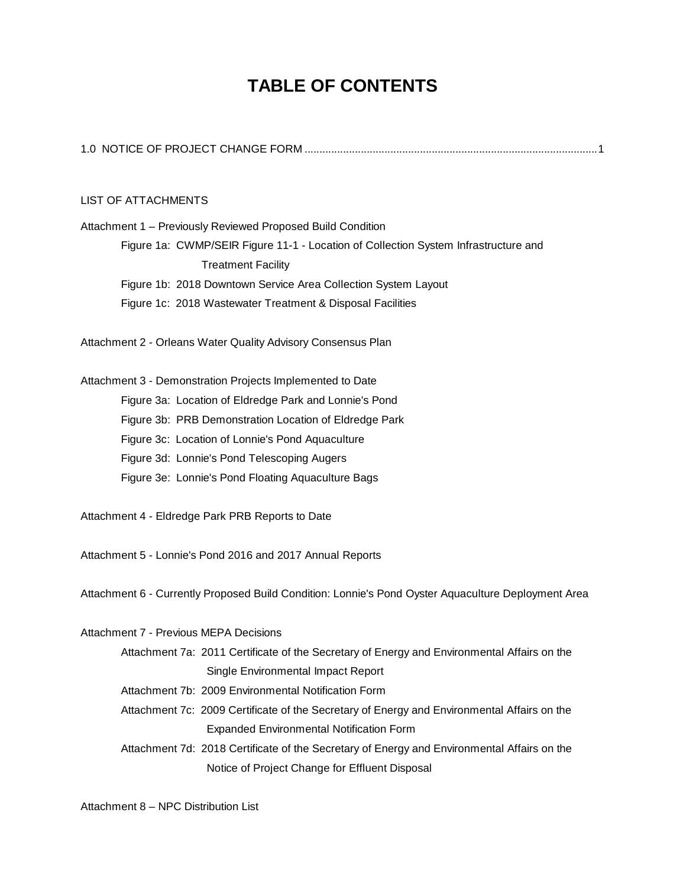### **TABLE OF CONTENTS**

#### LIST OF ATTACHMENTS

Attachment 1 – Previously Reviewed Proposed Build Condition Figure 1a: CWMP/SEIR Figure 11-1 - Location of Collection System Infrastructure and Treatment Facility Figure 1b: 2018 Downtown Service Area Collection System Layout Figure 1c: 2018 Wastewater Treatment & Disposal Facilities Attachment 2 - Orleans Water Quality Advisory Consensus Plan Attachment 3 - Demonstration Projects Implemented to Date Figure 3a: Location of Eldredge Park and Lonnie's Pond Figure 3b: PRB Demonstration Location of Eldredge Park Figure 3c: Location of Lonnie's Pond Aquaculture Figure 3d: Lonnie's Pond Telescoping Augers Figure 3e: Lonnie's Pond Floating Aquaculture Bags

Attachment 4 - Eldredge Park PRB Reports to Date

Attachment 5 - Lonnie's Pond 2016 and 2017 Annual Reports

Attachment 6 - Currently Proposed Build Condition: Lonnie's Pond Oyster Aquaculture Deployment Area

Attachment 7 - Previous MEPA Decisions

| Attachment 7a: 2011 Certificate of the Secretary of Energy and Environmental Affairs on the |
|---------------------------------------------------------------------------------------------|
| Single Environmental Impact Report                                                          |

- Attachment 7b: 2009 Environmental Notification Form
- Attachment 7c: 2009 Certificate of the Secretary of Energy and Environmental Affairs on the Expanded Environmental Notification Form
- Attachment 7d: 2018 Certificate of the Secretary of Energy and Environmental Affairs on the Notice of Project Change for Effluent Disposal

Attachment 8 – NPC Distribution List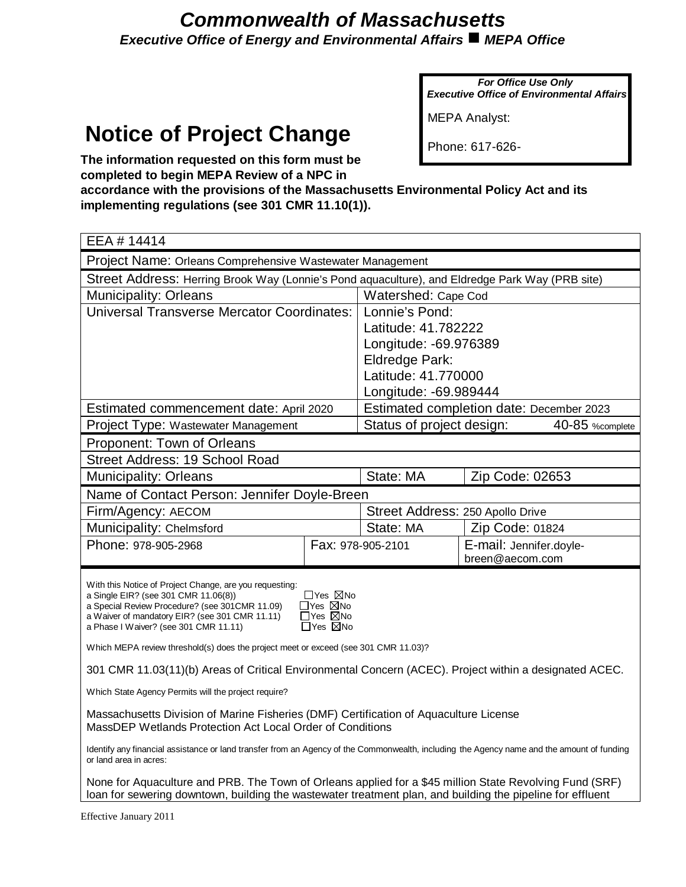### *Commonwealth of Massachusetts Executive Office of Energy and Environmental Affairs ■ MEPA Office*

*For Office Use Only Executive Office of Environmental Affairs*

MEPA Analyst:

## **Notice of Project Change**

Phone: 617-626-

**The information requested on this form must be completed to begin MEPA Review of a NPC in**

**accordance with the provisions of the Massachusetts Environmental Policy Act and its implementing regulations (see 301 CMR 11.10(1)).**

| EEA # 14414                                                                                                                                                                                                           |                                                        |                                  |                                          |  |
|-----------------------------------------------------------------------------------------------------------------------------------------------------------------------------------------------------------------------|--------------------------------------------------------|----------------------------------|------------------------------------------|--|
| Project Name: Orleans Comprehensive Wastewater Management                                                                                                                                                             |                                                        |                                  |                                          |  |
| Street Address: Herring Brook Way (Lonnie's Pond aquaculture), and Eldredge Park Way (PRB site)                                                                                                                       |                                                        |                                  |                                          |  |
| <b>Municipality: Orleans</b>                                                                                                                                                                                          |                                                        | Watershed: Cape Cod              |                                          |  |
| <b>Universal Transverse Mercator Coordinates:</b>                                                                                                                                                                     |                                                        | Lonnie's Pond:                   |                                          |  |
|                                                                                                                                                                                                                       |                                                        | Latitude: 41.782222              |                                          |  |
|                                                                                                                                                                                                                       |                                                        | Longitude: -69.976389            |                                          |  |
|                                                                                                                                                                                                                       |                                                        | <b>Eldredge Park:</b>            |                                          |  |
|                                                                                                                                                                                                                       |                                                        | Latitude: 41.770000              |                                          |  |
|                                                                                                                                                                                                                       |                                                        | Longitude: -69.989444            |                                          |  |
| Estimated commencement date: April 2020                                                                                                                                                                               |                                                        |                                  | Estimated completion date: December 2023 |  |
| Project Type: Wastewater Management                                                                                                                                                                                   |                                                        | Status of project design:        | 40-85 % complete                         |  |
| Proponent: Town of Orleans                                                                                                                                                                                            |                                                        |                                  |                                          |  |
| Street Address: 19 School Road                                                                                                                                                                                        |                                                        |                                  |                                          |  |
| <b>Municipality: Orleans</b>                                                                                                                                                                                          |                                                        | State: MA                        | Zip Code: 02653                          |  |
| Name of Contact Person: Jennifer Doyle-Breen                                                                                                                                                                          |                                                        |                                  |                                          |  |
| Firm/Agency: AECOM                                                                                                                                                                                                    |                                                        | Street Address: 250 Apollo Drive |                                          |  |
| Municipality: Chelmsford                                                                                                                                                                                              |                                                        | State: MA                        | Zip Code: 01824                          |  |
| Phone: 978-905-2968                                                                                                                                                                                                   |                                                        | Fax: 978-905-2101                | E-mail: Jennifer.doyle-                  |  |
|                                                                                                                                                                                                                       |                                                        |                                  | breen@aecom.com                          |  |
| With this Notice of Project Change, are you requesting:                                                                                                                                                               |                                                        |                                  |                                          |  |
| a Single EIR? (see 301 CMR 11.06(8))<br>a Special Review Procedure? (see 301CMR 11.09)                                                                                                                                | $\Box$ Yes $\boxtimes$ No<br>$\Box$ Yes $\boxtimes$ No |                                  |                                          |  |
| a Waiver of mandatory EIR? (see 301 CMR 11.11)                                                                                                                                                                        | □Yes ⊠No                                               |                                  |                                          |  |
| a Phase I Waiver? (see 301 CMR 11.11)                                                                                                                                                                                 | $\Box$ Yes $\boxtimes$ No                              |                                  |                                          |  |
| Which MEPA review threshold(s) does the project meet or exceed (see 301 CMR 11.03)?                                                                                                                                   |                                                        |                                  |                                          |  |
| 301 CMR 11.03(11)(b) Areas of Critical Environmental Concern (ACEC). Project within a designated ACEC.                                                                                                                |                                                        |                                  |                                          |  |
| Which State Agency Permits will the project require?                                                                                                                                                                  |                                                        |                                  |                                          |  |
| Massachusetts Division of Marine Fisheries (DMF) Certification of Aquaculture License<br>MassDEP Wetlands Protection Act Local Order of Conditions                                                                    |                                                        |                                  |                                          |  |
| Identify any financial assistance or land transfer from an Agency of the Commonwealth, including the Agency name and the amount of funding<br>or land area in acres:                                                  |                                                        |                                  |                                          |  |
| None for Aquaculture and PRB. The Town of Orleans applied for a \$45 million State Revolving Fund (SRF)<br>loan for sewering downtown, building the wastewater treatment plan, and building the pipeline for effluent |                                                        |                                  |                                          |  |

Effective January 2011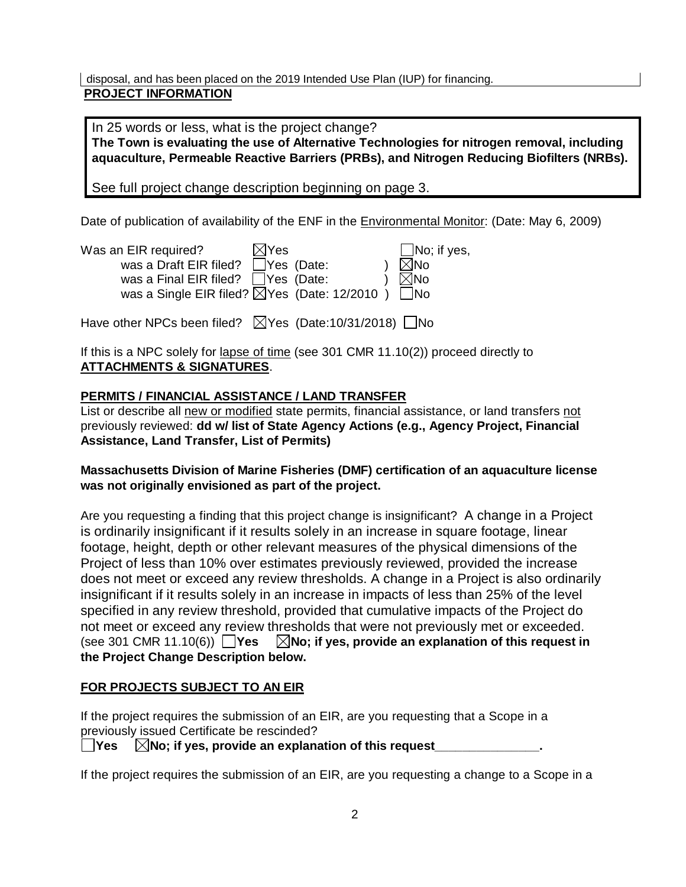disposal, and has been placed on the 2019 Intended Use Plan (IUP) for financing.  **PROJECT INFORMATION**

In 25 words or less, what is the project change? **The Town is evaluating the use of Alternative Technologies for nitrogen removal, including aquaculture, Permeable Reactive Barriers (PRBs), and Nitrogen Reducing Biofilters (NRBs).**

See full project change description beginning on page 3.

Date of publication of availability of the ENF in the Environmental Monitor: (Date: May 6, 2009)

| Was an EIR required?                                              | $\boxtimes$ Yes |  | $\Box$ No; if yes, |
|-------------------------------------------------------------------|-----------------|--|--------------------|
| was a Draft EIR filed? $\Box$ Yes (Date:                          |                 |  | $\boxtimes$ No     |
| was a Final EIR filed? □ Yes (Date:                               |                 |  | $\boxtimes$ No     |
| was a Single EIR filed? $\boxtimes$ Yes (Date: 12/2010) $\Box$ No |                 |  |                    |
|                                                                   |                 |  |                    |

Have other NPCs been filed?  $\triangledown$ Yes (Date:10/31/2018)  $\square$ No

If this is a NPC solely for lapse of time (see 301 CMR 11.10(2)) proceed directly to **ATTACHMENTS & SIGNATURES**.

#### **PERMITS / FINANCIAL ASSISTANCE / LAND TRANSFER**

List or describe all new or modified state permits, financial assistance, or land transfers not previously reviewed: **dd w/ list of State Agency Actions (e.g., Agency Project, Financial Assistance, Land Transfer, List of Permits)**

#### **Massachusetts Division of Marine Fisheries (DMF) certification of an aquaculture license was not originally envisioned as part of the project.**

Are you requesting a finding that this project change is insignificant? A change in a Project is ordinarily insignificant if it results solely in an increase in square footage, linear footage, height, depth or other relevant measures of the physical dimensions of the Project of less than 10% over estimates previously reviewed, provided the increase does not meet or exceed any review thresholds. A change in a Project is also ordinarily insignificant if it results solely in an increase in impacts of less than 25% of the level specified in any review threshold, provided that cumulative impacts of the Project do not meet or exceed any review thresholds that were not previously met or exceeded. (see 301 CMR 11.10(6)) **Yes No; if yes, provide an explanation of this request in the Project Change Description below.**

#### **FOR PROJECTS SUBJECT TO AN EIR**

If the project requires the submission of an EIR, are you requesting that a Scope in a previously issued Certificate be rescinded?

 $\Box$ Yes  $\Box$  No; if yes, provide an explanation of this request

If the project requires the submission of an EIR, are you requesting a change to a Scope in a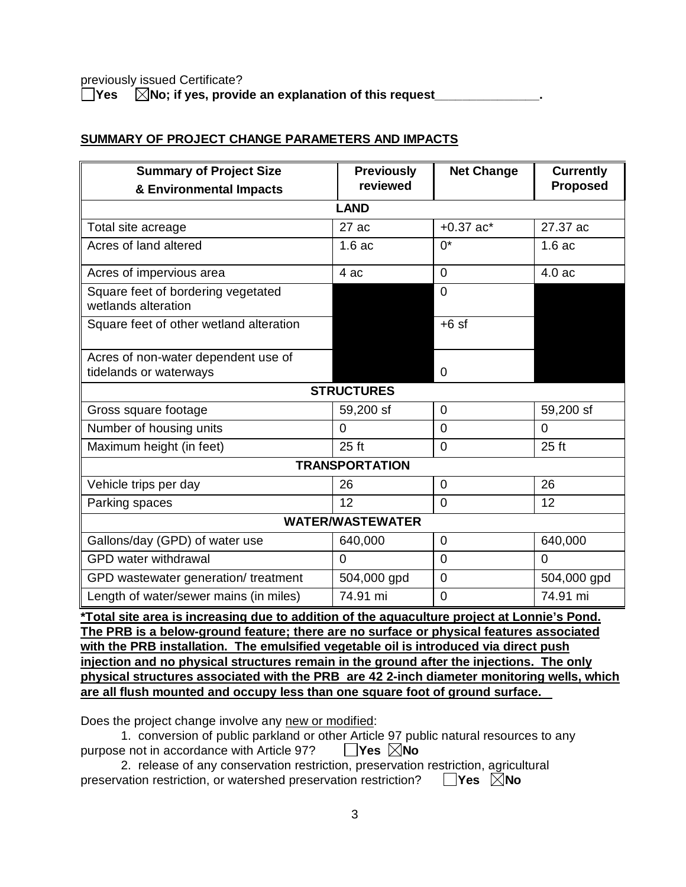previously issued Certificate?

**The**  $\Box$  **Yes**  $\Box$  No; if yes, provide an explanation of this request

#### **SUMMARY OF PROJECT CHANGE PARAMETERS AND IMPACTS**

| <b>Summary of Project Size</b>                            | <b>Previously</b> | <b>Net Change</b> | <b>Currently</b> |  |  |
|-----------------------------------------------------------|-------------------|-------------------|------------------|--|--|
| & Environmental Impacts                                   | reviewed          |                   | <b>Proposed</b>  |  |  |
| <b>LAND</b>                                               |                   |                   |                  |  |  |
| Total site acreage                                        | 27ac              | $+0.37$ ac*       | 27.37 ac         |  |  |
| Acres of land altered                                     | 1.6ac             | $0^*$             | 1.6ac            |  |  |
| Acres of impervious area                                  | 4 ac              | $\Omega$          | 4.0 ac           |  |  |
| Square feet of bordering vegetated<br>wetlands alteration |                   | $\overline{0}$    |                  |  |  |
| Square feet of other wetland alteration                   |                   | $+6$ sf           |                  |  |  |
| Acres of non-water dependent use of                       |                   |                   |                  |  |  |
| tidelands or waterways                                    |                   | $\Omega$          |                  |  |  |
| <b>STRUCTURES</b>                                         |                   |                   |                  |  |  |
| Gross square footage                                      | 59,200 sf         | $\overline{0}$    | 59,200 sf        |  |  |
| Number of housing units                                   | $\Omega$          | $\Omega$          | $\Omega$         |  |  |
| Maximum height (in feet)                                  | $25$ ft           | $\Omega$          | $25$ ft          |  |  |
| <b>TRANSPORTATION</b>                                     |                   |                   |                  |  |  |
| Vehicle trips per day                                     | 26                | $\Omega$          | 26               |  |  |
| Parking spaces                                            | 12                | $\overline{0}$    | 12               |  |  |
| <b>WATER/WASTEWATER</b>                                   |                   |                   |                  |  |  |
| Gallons/day (GPD) of water use                            | 640,000           | $\mathbf 0$       | 640,000          |  |  |
| <b>GPD</b> water withdrawal                               | 0                 | $\overline{0}$    | $\Omega$         |  |  |
| GPD wastewater generation/ treatment                      | 504,000 gpd       | $\overline{0}$    | 504,000 gpd      |  |  |
| Length of water/sewer mains (in miles)                    | 74.91 mi          | $\overline{0}$    | 74.91 mi         |  |  |

**\*Total site area is increasing due to addition of the aquaculture project at Lonnie's Pond. The PRB is a below-ground feature; there are no surface or physical features associated with the PRB installation. The emulsified vegetable oil is introduced via direct push injection and no physical structures remain in the ground after the injections. The only physical structures associated with the PRB are 42 2-inch diameter monitoring wells, which are all flush mounted and occupy less than one square foot of ground surface.**

Does the project change involve any new or modified:

1. conversion of public parkland or other Article 97 public natural resources to any purpose not in accordance with Article 97? **Yes No**

2. release of any conservation restriction, preservation restriction, agricultural preservation restriction, or watershed preservation restriction? **Yes No**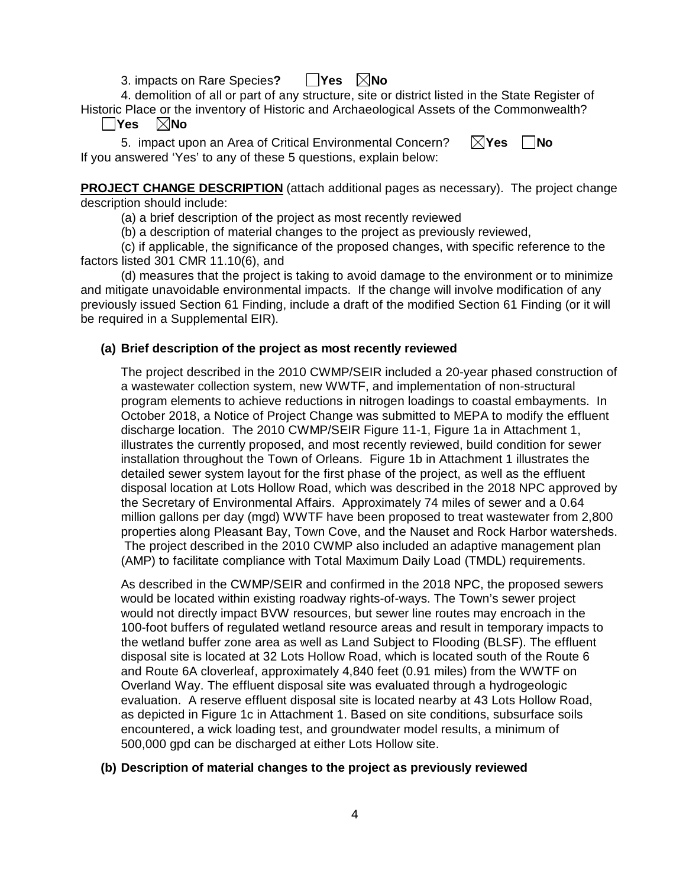3. impacts on Rare Species**? Yes No**

4. demolition of all or part of any structure, site or district listed in the State Register of Historic Place or the inventory of Historic and Archaeological Assets of the Commonwealth? **Yes No**

5. impact upon an Area of Critical Environmental Concern?  $\boxtimes$ **Yes**  $\Box$ No If you answered 'Yes' to any of these 5 questions, explain below:

**PROJECT CHANGE DESCRIPTION** (attach additional pages as necessary). The project change description should include:

(a) a brief description of the project as most recently reviewed

(b) a description of material changes to the project as previously reviewed,

(c) if applicable, the significance of the proposed changes, with specific reference to the factors listed 301 CMR 11.10(6), and

(d) measures that the project is taking to avoid damage to the environment or to minimize and mitigate unavoidable environmental impacts. If the change will involve modification of any previously issued Section 61 Finding, include a draft of the modified Section 61 Finding (or it will be required in a Supplemental EIR).

#### **(a) Brief description of the project as most recently reviewed**

The project described in the 2010 CWMP/SEIR included a 20-year phased construction of a wastewater collection system, new WWTF, and implementation of non-structural program elements to achieve reductions in nitrogen loadings to coastal embayments. In October 2018, a Notice of Project Change was submitted to MEPA to modify the effluent discharge location. The 2010 CWMP/SEIR Figure 11-1, Figure 1a in Attachment 1, illustrates the currently proposed, and most recently reviewed, build condition for sewer installation throughout the Town of Orleans. Figure 1b in Attachment 1 illustrates the detailed sewer system layout for the first phase of the project, as well as the effluent disposal location at Lots Hollow Road, which was described in the 2018 NPC approved by the Secretary of Environmental Affairs. Approximately 74 miles of sewer and a 0.64 million gallons per day (mgd) WWTF have been proposed to treat wastewater from 2,800 properties along Pleasant Bay, Town Cove, and the Nauset and Rock Harbor watersheds. The project described in the 2010 CWMP also included an adaptive management plan (AMP) to facilitate compliance with Total Maximum Daily Load (TMDL) requirements.

As described in the CWMP/SEIR and confirmed in the 2018 NPC, the proposed sewers would be located within existing roadway rights-of-ways. The Town's sewer project would not directly impact BVW resources, but sewer line routes may encroach in the 100-foot buffers of regulated wetland resource areas and result in temporary impacts to the wetland buffer zone area as well as Land Subject to Flooding (BLSF). The effluent disposal site is located at 32 Lots Hollow Road, which is located south of the Route 6 and Route 6A cloverleaf, approximately 4,840 feet (0.91 miles) from the WWTF on Overland Way. The effluent disposal site was evaluated through a hydrogeologic evaluation. A reserve effluent disposal site is located nearby at 43 Lots Hollow Road, as depicted in Figure 1c in Attachment 1. Based on site conditions, subsurface soils encountered, a wick loading test, and groundwater model results, a minimum of 500,000 gpd can be discharged at either Lots Hollow site.

#### **(b) Description of material changes to the project as previously reviewed**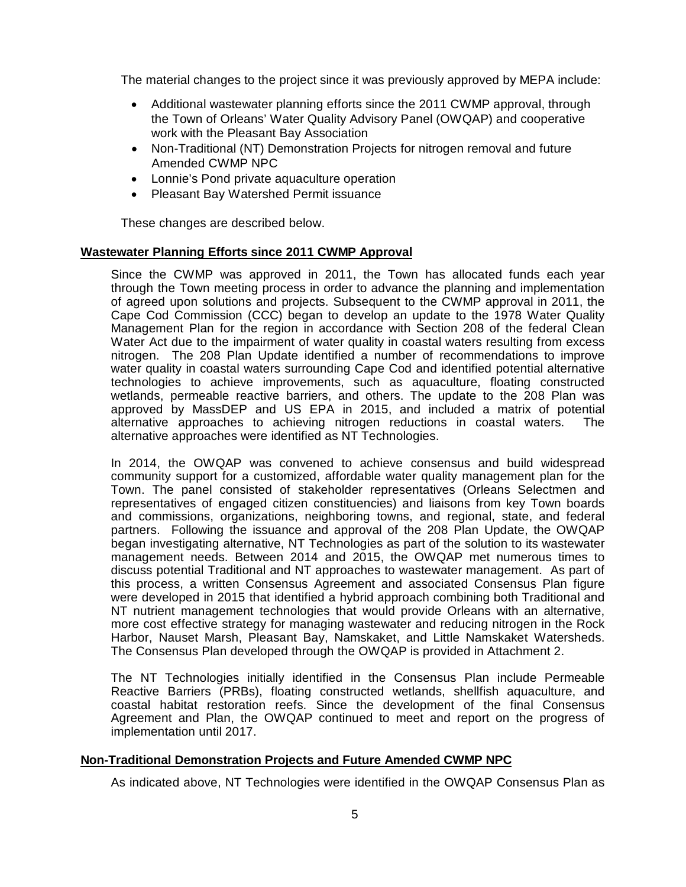The material changes to the project since it was previously approved by MEPA include:

- · Additional wastewater planning efforts since the 2011 CWMP approval, through the Town of Orleans' Water Quality Advisory Panel (OWQAP) and cooperative work with the Pleasant Bay Association
- · Non-Traditional (NT) Demonstration Projects for nitrogen removal and future Amended CWMP NPC
- · Lonnie's Pond private aquaculture operation
- · Pleasant Bay Watershed Permit issuance

These changes are described below.

#### **Wastewater Planning Efforts since 2011 CWMP Approval**

Since the CWMP was approved in 2011, the Town has allocated funds each year through the Town meeting process in order to advance the planning and implementation of agreed upon solutions and projects. Subsequent to the CWMP approval in 2011, the Cape Cod Commission (CCC) began to develop an update to the 1978 Water Quality Management Plan for the region in accordance with Section 208 of the federal Clean Water Act due to the impairment of water quality in coastal waters resulting from excess nitrogen. The 208 Plan Update identified a number of recommendations to improve water quality in coastal waters surrounding Cape Cod and identified potential alternative technologies to achieve improvements, such as aquaculture, floating constructed wetlands, permeable reactive barriers, and others. The update to the 208 Plan was approved by MassDEP and US EPA in 2015, and included a matrix of potential alternative approaches to achieving nitrogen reductions in coastal waters. The alternative approaches were identified as NT Technologies.

In 2014, the OWQAP was convened to achieve consensus and build widespread community support for a customized, affordable water quality management plan for the Town. The panel consisted of stakeholder representatives (Orleans Selectmen and representatives of engaged citizen constituencies) and liaisons from key Town boards and commissions, organizations, neighboring towns, and regional, state, and federal partners. Following the issuance and approval of the 208 Plan Update, the OWQAP began investigating alternative, NT Technologies as part of the solution to its wastewater management needs. Between 2014 and 2015, the OWQAP met numerous times to discuss potential Traditional and NT approaches to wastewater management. As part of this process, a written Consensus Agreement and associated Consensus Plan figure were developed in 2015 that identified a hybrid approach combining both Traditional and NT nutrient management technologies that would provide Orleans with an alternative, more cost effective strategy for managing wastewater and reducing nitrogen in the Rock Harbor, Nauset Marsh, Pleasant Bay, Namskaket, and Little Namskaket Watersheds. The Consensus Plan developed through the OWQAP is provided in Attachment 2.

The NT Technologies initially identified in the Consensus Plan include Permeable Reactive Barriers (PRBs), floating constructed wetlands, shellfish aquaculture, and coastal habitat restoration reefs. Since the development of the final Consensus Agreement and Plan, the OWQAP continued to meet and report on the progress of implementation until 2017.

#### **Non-Traditional Demonstration Projects and Future Amended CWMP NPC**

As indicated above, NT Technologies were identified in the OWQAP Consensus Plan as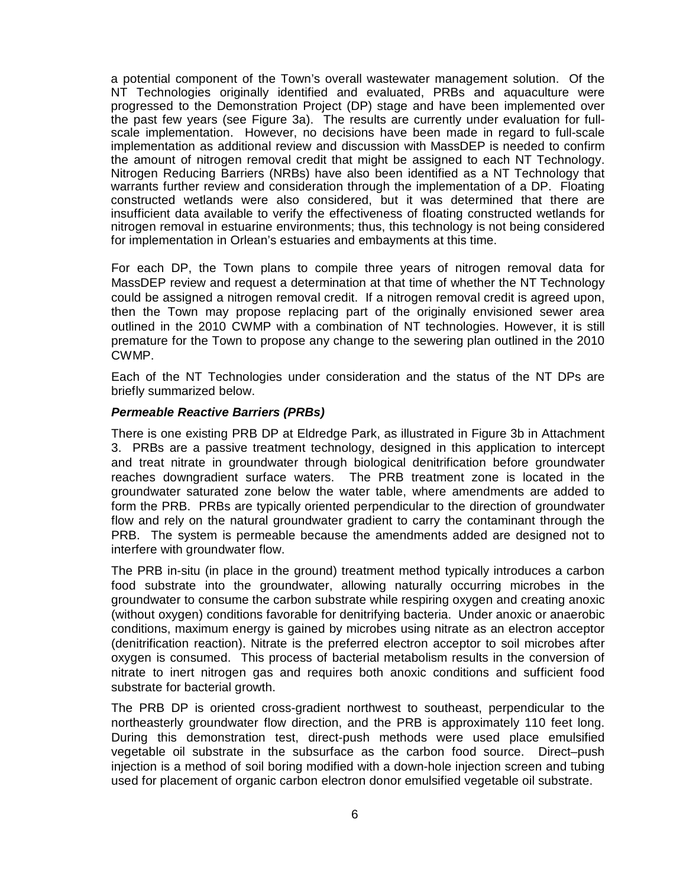a potential component of the Town's overall wastewater management solution. Of the NT Technologies originally identified and evaluated, PRBs and aquaculture were progressed to the Demonstration Project (DP) stage and have been implemented over the past few years (see Figure 3a). The results are currently under evaluation for fullscale implementation. However, no decisions have been made in regard to full-scale implementation as additional review and discussion with MassDEP is needed to confirm the amount of nitrogen removal credit that might be assigned to each NT Technology. Nitrogen Reducing Barriers (NRBs) have also been identified as a NT Technology that warrants further review and consideration through the implementation of a DP. Floating constructed wetlands were also considered, but it was determined that there are insufficient data available to verify the effectiveness of floating constructed wetlands for nitrogen removal in estuarine environments; thus, this technology is not being considered for implementation in Orlean's estuaries and embayments at this time.

For each DP, the Town plans to compile three years of nitrogen removal data for MassDEP review and request a determination at that time of whether the NT Technology could be assigned a nitrogen removal credit. If a nitrogen removal credit is agreed upon, then the Town may propose replacing part of the originally envisioned sewer area outlined in the 2010 CWMP with a combination of NT technologies. However, it is still premature for the Town to propose any change to the sewering plan outlined in the 2010 CWMP.

Each of the NT Technologies under consideration and the status of the NT DPs are briefly summarized below.

#### *Permeable Reactive Barriers (PRBs)*

There is one existing PRB DP at Eldredge Park, as illustrated in Figure 3b in Attachment 3. PRBs are a passive treatment technology, designed in this application to intercept and treat nitrate in groundwater through biological denitrification before groundwater reaches downgradient surface waters. The PRB treatment zone is located in the groundwater saturated zone below the water table, where amendments are added to form the PRB. PRBs are typically oriented perpendicular to the direction of groundwater flow and rely on the natural groundwater gradient to carry the contaminant through the PRB. The system is permeable because the amendments added are designed not to interfere with groundwater flow.

The PRB in-situ (in place in the ground) treatment method typically introduces a carbon food substrate into the groundwater, allowing naturally occurring microbes in the groundwater to consume the carbon substrate while respiring oxygen and creating anoxic (without oxygen) conditions favorable for denitrifying bacteria. Under anoxic or anaerobic conditions, maximum energy is gained by microbes using nitrate as an electron acceptor (denitrification reaction). Nitrate is the preferred electron acceptor to soil microbes after oxygen is consumed. This process of bacterial metabolism results in the conversion of nitrate to inert nitrogen gas and requires both anoxic conditions and sufficient food substrate for bacterial growth.

The PRB DP is oriented cross-gradient northwest to southeast, perpendicular to the northeasterly groundwater flow direction, and the PRB is approximately 110 feet long. During this demonstration test, direct-push methods were used place emulsified vegetable oil substrate in the subsurface as the carbon food source. Direct–push injection is a method of soil boring modified with a down-hole injection screen and tubing used for placement of organic carbon electron donor emulsified vegetable oil substrate.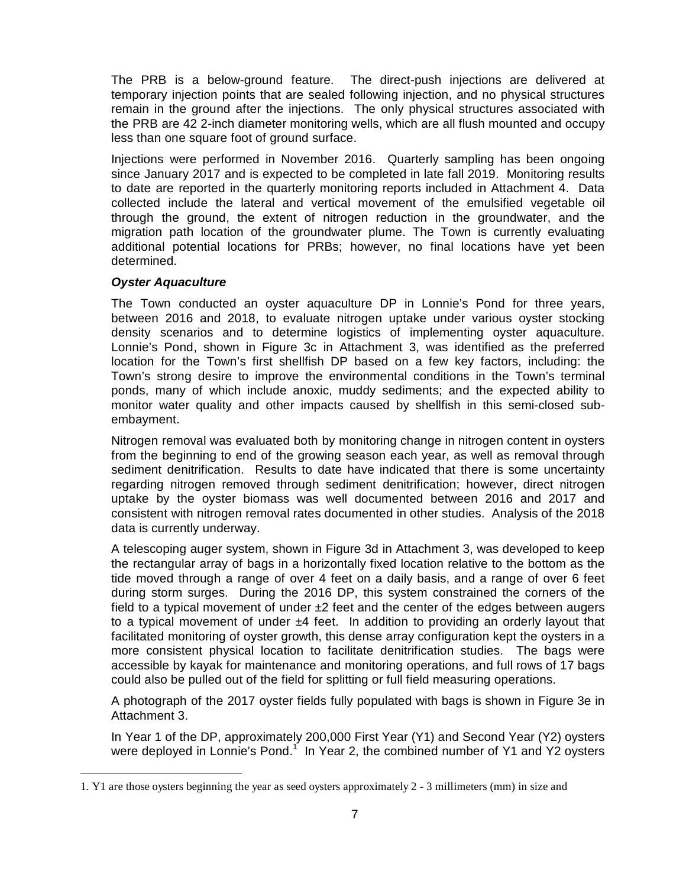The PRB is a below-ground feature. The direct-push injections are delivered at temporary injection points that are sealed following injection, and no physical structures remain in the ground after the injections. The only physical structures associated with the PRB are 42 2-inch diameter monitoring wells, which are all flush mounted and occupy less than one square foot of ground surface.

Injections were performed in November 2016. Quarterly sampling has been ongoing since January 2017 and is expected to be completed in late fall 2019. Monitoring results to date are reported in the quarterly monitoring reports included in Attachment 4. Data collected include the lateral and vertical movement of the emulsified vegetable oil through the ground, the extent of nitrogen reduction in the groundwater, and the migration path location of the groundwater plume. The Town is currently evaluating additional potential locations for PRBs; however, no final locations have yet been determined.

#### *Oyster Aquaculture*

The Town conducted an oyster aquaculture DP in Lonnie's Pond for three years, between 2016 and 2018, to evaluate nitrogen uptake under various oyster stocking density scenarios and to determine logistics of implementing oyster aquaculture. Lonnie's Pond, shown in Figure 3c in Attachment 3, was identified as the preferred location for the Town's first shellfish DP based on a few key factors, including: the Town's strong desire to improve the environmental conditions in the Town's terminal ponds, many of which include anoxic, muddy sediments; and the expected ability to monitor water quality and other impacts caused by shellfish in this semi-closed subembayment.

Nitrogen removal was evaluated both by monitoring change in nitrogen content in oysters from the beginning to end of the growing season each year, as well as removal through sediment denitrification. Results to date have indicated that there is some uncertainty regarding nitrogen removed through sediment denitrification; however, direct nitrogen uptake by the oyster biomass was well documented between 2016 and 2017 and consistent with nitrogen removal rates documented in other studies. Analysis of the 2018 data is currently underway.

A telescoping auger system, shown in Figure 3d in Attachment 3, was developed to keep the rectangular array of bags in a horizontally fixed location relative to the bottom as the tide moved through a range of over 4 feet on a daily basis, and a range of over 6 feet during storm surges. During the 2016 DP, this system constrained the corners of the field to a typical movement of under  $\pm 2$  feet and the center of the edges between augers to a typical movement of under ±4 feet. In addition to providing an orderly layout that facilitated monitoring of oyster growth, this dense array configuration kept the oysters in a more consistent physical location to facilitate denitrification studies. The bags were accessible by kayak for mainten[a](#page-10-0)nce and monitoring operations, and full rows of 17 bags could also be pulled out of the field for splitting or full field measuring operations.

A photograph of the 2017 oyster fields fully populated with bags is shown in Figure 3e in Attachment 3.

In Year 1 of the DP, approximately 200,000 First Year (Y1) and Second Year (Y2) oysters were deployed in Lonnie's Pond.<sup>1</sup> In Year 2, the combined number of Y1 and Y2 oysters

<span id="page-10-0"></span><sup>1.</sup> Y1 are those oysters beginning the year as seed oysters approximately 2 - 3 millimeters (mm) in size and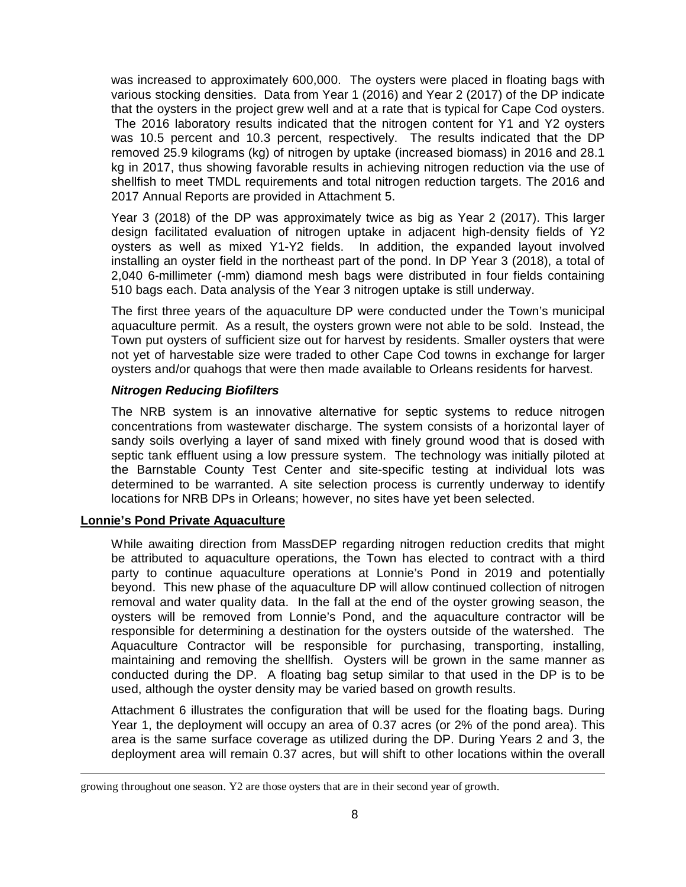was increased to approximately 600,000. The oysters were placed in floating bags with various stocking densities. Data from Year 1 (2016) and Year 2 (2017) of the DP indicate that the oysters in the project grew well and at a rate that is typical for Cape Cod oysters. The 2016 laboratory results indicated that the nitrogen content for Y1 and Y2 oysters was 10.5 percent and 10.3 percent, respectively. The results indicated that the DP removed 25.9 kilograms (kg) of nitrogen by uptake (increased biomass) in 2016 and 28.1 kg in 2017, thus showing favorable results in achieving nitrogen reduction via the use of shellfish to meet TMDL requirements and total nitrogen reduction targets. The 2016 and 2017 Annual Reports are provided in Attachment 5.

Year 3 (2018) of the DP was approximately twice as big as Year 2 (2017). This larger design facilitated evaluation of nitrogen uptake in adjacent high-density fields of Y2 oysters as well as mixed Y1-Y2 fields. In addition, the expanded layout involved installing an oyster field in the northeast part of the pond. In DP Year 3 (2018), a total of 2,040 6-millimeter (-mm) diamond mesh bags were distributed in four fields containing 510 bags each. Data analysis of the Year 3 nitrogen uptake is still underway.

The first three years of the aquaculture DP were conducted under the Town's municipal aquaculture permit. As a result, the oysters grown were not able to be sold. Instead, the Town put oysters of sufficient size out for harvest by residents. Smaller oysters that were not yet of harvestable size were traded to other Cape Cod towns in exchange for larger oysters and/or quahogs that were then made available to Orleans residents for harvest.

#### *Nitrogen Reducing Biofilters*

The NRB system is an innovative alternative for septic systems to reduce nitrogen concentrations from wastewater discharge. The system consists of a horizontal layer of sandy soils overlying a layer of sand mixed with finely ground wood that is dosed with septic tank effluent using a low pressure system. The technology was initially piloted at the Barnstable County Test Center and site-specific testing at individual lots was determined to be warranted. A site selection process is currently underway to identify locations for NRB DPs in Orleans; however, no sites have yet been selected.

#### **Lonnie's Pond Private Aquaculture**

While awaiting direction from MassDEP regarding nitrogen reduction credits that might be attributed to aquaculture operations, the Town has elected to contract with a third party to continue aquaculture operations at Lonnie's Pond in 2019 and potentially beyond. This new phase of the aquaculture DP will allow continued collection of nitrogen removal and water quality data. In the fall at the end of the oyster growing season, the oysters will be removed from Lonnie's Pond, and the aquaculture contractor will be responsible for determining a destination for the oysters outside of the watershed. The Aquaculture Contractor will be responsible for purchasing, transporting, installing, maintaining and removing the shellfish. Oysters will be grown in the same manner as conducted during the DP. A floating bag setup similar to that used in the DP is to be used, although the oyster density may be varied based on growth results.

Attachment 6 illustrates the configuration that will be used for the floating bags. During Year 1, the deployment will occupy an area of 0.37 acres (or 2% of the pond area). This area is the same surface coverage as utilized during the DP. During Years 2 and 3, the deployment area will remain 0.37 acres, but will shift to other locations within the overall

growing throughout one season. Y2 are those oysters that are in their second year of growth.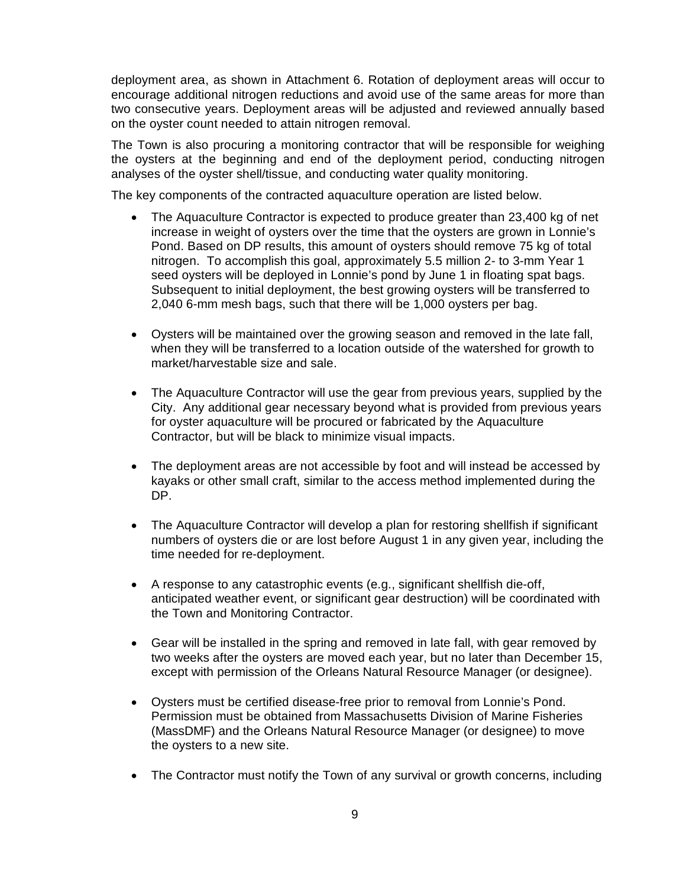deployment area, as shown in Attachment 6. Rotation of deployment areas will occur to encourage additional nitrogen reductions and avoid use of the same areas for more than two consecutive years. Deployment areas will be adjusted and reviewed annually based on the oyster count needed to attain nitrogen removal.

The Town is also procuring a monitoring contractor that will be responsible for weighing the oysters at the beginning and end of the deployment period, conducting nitrogen analyses of the oyster shell/tissue, and conducting water quality monitoring.

The key components of the contracted aquaculture operation are listed below.

- · The Aquaculture Contractor is expected to produce greater than 23,400 kg of net increase in weight of oysters over the time that the oysters are grown in Lonnie's Pond. Based on DP results, this amount of oysters should remove 75 kg of total nitrogen. To accomplish this goal, approximately 5.5 million 2- to 3-mm Year 1 seed oysters will be deployed in Lonnie's pond by June 1 in floating spat bags. Subsequent to initial deployment, the best growing oysters will be transferred to 2,040 6-mm mesh bags, such that there will be 1,000 oysters per bag.
- · Oysters will be maintained over the growing season and removed in the late fall, when they will be transferred to a location outside of the watershed for growth to market/harvestable size and sale.
- · The Aquaculture Contractor will use the gear from previous years, supplied by the City. Any additional gear necessary beyond what is provided from previous years for oyster aquaculture will be procured or fabricated by the Aquaculture Contractor, but will be black to minimize visual impacts.
- · The deployment areas are not accessible by foot and will instead be accessed by kayaks or other small craft, similar to the access method implemented during the DP.
- · The Aquaculture Contractor will develop a plan for restoring shellfish if significant numbers of oysters die or are lost before August 1 in any given year, including the time needed for re-deployment.
- · A response to any catastrophic events (e.g., significant shellfish die-off, anticipated weather event, or significant gear destruction) will be coordinated with the Town and Monitoring Contractor.
- · Gear will be installed in the spring and removed in late fall, with gear removed by two weeks after the oysters are moved each year, but no later than December 15, except with permission of the Orleans Natural Resource Manager (or designee).
- · Oysters must be certified disease-free prior to removal from Lonnie's Pond. Permission must be obtained from Massachusetts Division of Marine Fisheries (MassDMF) and the Orleans Natural Resource Manager (or designee) to move the oysters to a new site.
- The Contractor must notify the Town of any survival or growth concerns, including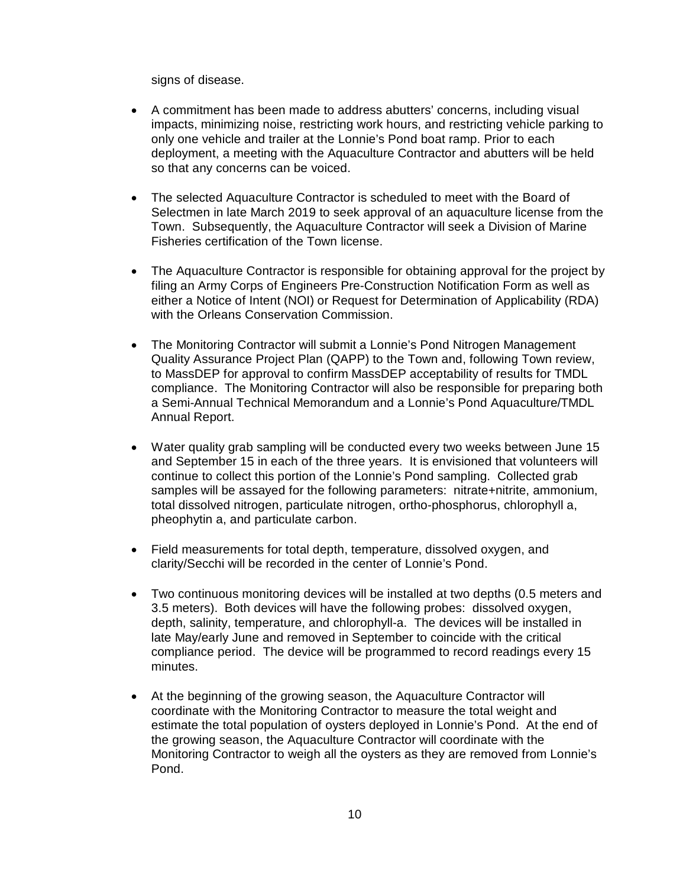signs of disease.

- · A commitment has been made to address abutters' concerns, including visual impacts, minimizing noise, restricting work hours, and restricting vehicle parking to only one vehicle and trailer at the Lonnie's Pond boat ramp. Prior to each deployment, a meeting with the Aquaculture Contractor and abutters will be held so that any concerns can be voiced.
- · The selected Aquaculture Contractor is scheduled to meet with the Board of Selectmen in late March 2019 to seek approval of an aquaculture license from the Town. Subsequently, the Aquaculture Contractor will seek a Division of Marine Fisheries certification of the Town license.
- The Aquaculture Contractor is responsible for obtaining approval for the project by filing an Army Corps of Engineers Pre-Construction Notification Form as well as either a Notice of Intent (NOI) or Request for Determination of Applicability (RDA) with the Orleans Conservation Commission.
- · The Monitoring Contractor will submit a Lonnie's Pond Nitrogen Management Quality Assurance Project Plan (QAPP) to the Town and, following Town review, to MassDEP for approval to confirm MassDEP acceptability of results for TMDL compliance. The Monitoring Contractor will also be responsible for preparing both a Semi-Annual Technical Memorandum and a Lonnie's Pond Aquaculture/TMDL Annual Report.
- · Water quality grab sampling will be conducted every two weeks between June 15 and September 15 in each of the three years. It is envisioned that volunteers will continue to collect this portion of the Lonnie's Pond sampling. Collected grab samples will be assayed for the following parameters: nitrate+nitrite, ammonium, total dissolved nitrogen, particulate nitrogen, ortho-phosphorus, chlorophyll a, pheophytin a, and particulate carbon.
- · Field measurements for total depth, temperature, dissolved oxygen, and clarity/Secchi will be recorded in the center of Lonnie's Pond.
- · Two continuous monitoring devices will be installed at two depths (0.5 meters and 3.5 meters). Both devices will have the following probes: dissolved oxygen, depth, salinity, temperature, and chlorophyll-a. The devices will be installed in late May/early June and removed in September to coincide with the critical compliance period. The device will be programmed to record readings every 15 minutes.
- · At the beginning of the growing season, the Aquaculture Contractor will coordinate with the Monitoring Contractor to measure the total weight and estimate the total population of oysters deployed in Lonnie's Pond. At the end of the growing season, the Aquaculture Contractor will coordinate with the Monitoring Contractor to weigh all the oysters as they are removed from Lonnie's Pond.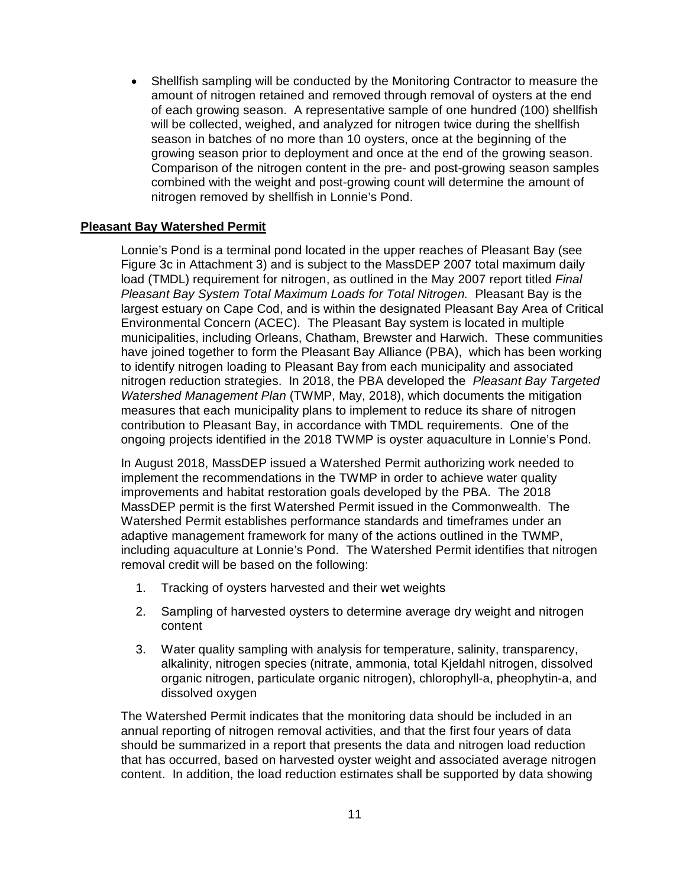· Shellfish sampling will be conducted by the Monitoring Contractor to measure the amount of nitrogen retained and removed through removal of oysters at the end of each growing season. A representative sample of one hundred (100) shellfish will be collected, weighed, and analyzed for nitrogen twice during the shellfish season in batches of no more than 10 oysters, once at the beginning of the growing season prior to deployment and once at the end of the growing season. Comparison of the nitrogen content in the pre- and post-growing season samples combined with the weight and post-growing count will determine the amount of nitrogen removed by shellfish in Lonnie's Pond.

#### **Pleasant Bay Watershed Permit**

Lonnie's Pond is a terminal pond located in the upper reaches of Pleasant Bay (see Figure 3c in Attachment 3) and is subject to the MassDEP 2007 total maximum daily load (TMDL) requirement for nitrogen, as outlined in the May 2007 report titled *Final Pleasant Bay System Total Maximum Loads for Total Nitrogen.* Pleasant Bay is the largest estuary on Cape Cod, and is within the designated Pleasant Bay Area of Critical Environmental Concern (ACEC). The Pleasant Bay system is located in multiple municipalities, including Orleans, Chatham, Brewster and Harwich. These communities have joined together to form the Pleasant Bay Alliance (PBA), which has been working to identify nitrogen loading to Pleasant Bay from each municipality and associated nitrogen reduction strategies. In 2018, the PBA developed the *Pleasant Bay Targeted Watershed Management Plan* (TWMP, May, 2018), which documents the mitigation measures that each municipality plans to implement to reduce its share of nitrogen contribution to Pleasant Bay, in accordance with TMDL requirements. One of the ongoing projects identified in the 2018 TWMP is oyster aquaculture in Lonnie's Pond.

In August 2018, MassDEP issued a Watershed Permit authorizing work needed to implement the recommendations in the TWMP in order to achieve water quality improvements and habitat restoration goals developed by the PBA. The 2018 MassDEP permit is the first Watershed Permit issued in the Commonwealth. The Watershed Permit establishes performance standards and timeframes under an adaptive management framework for many of the actions outlined in the TWMP, including aquaculture at Lonnie's Pond. The Watershed Permit identifies that nitrogen removal credit will be based on the following:

- 1. Tracking of oysters harvested and their wet weights
- 2. Sampling of harvested oysters to determine average dry weight and nitrogen content
- 3. Water quality sampling with analysis for temperature, salinity, transparency, alkalinity, nitrogen species (nitrate, ammonia, total Kjeldahl nitrogen, dissolved organic nitrogen, particulate organic nitrogen), chlorophyll-a, pheophytin-a, and dissolved oxygen

The Watershed Permit indicates that the monitoring data should be included in an annual reporting of nitrogen removal activities, and that the first four years of data should be summarized in a report that presents the data and nitrogen load reduction that has occurred, based on harvested oyster weight and associated average nitrogen content. In addition, the load reduction estimates shall be supported by data showing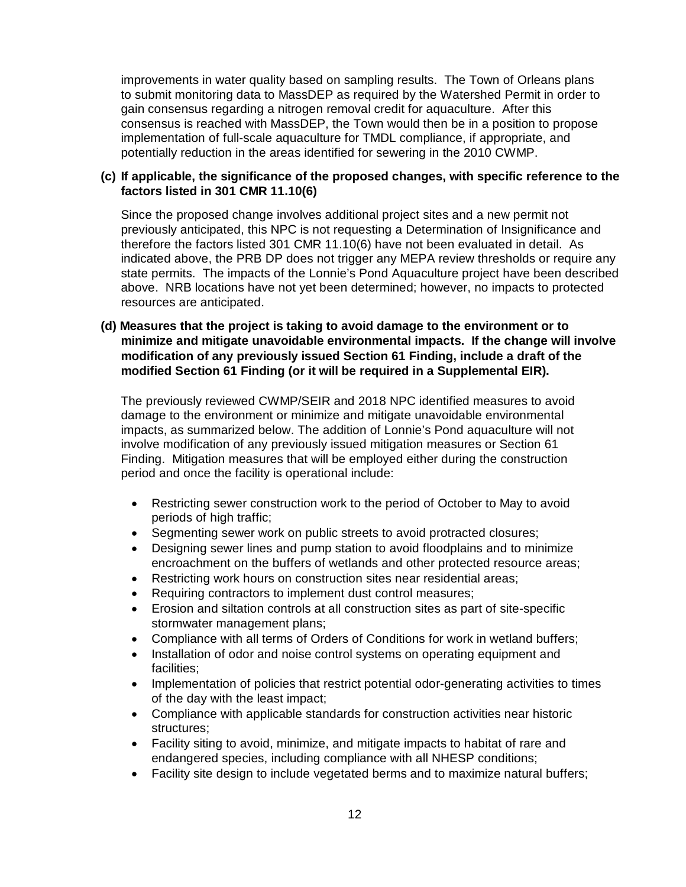improvements in water quality based on sampling results. The Town of Orleans plans to submit monitoring data to MassDEP as required by the Watershed Permit in order to gain consensus regarding a nitrogen removal credit for aquaculture. After this consensus is reached with MassDEP, the Town would then be in a position to propose implementation of full-scale aquaculture for TMDL compliance, if appropriate, and potentially reduction in the areas identified for sewering in the 2010 CWMP.

#### **(c) If applicable, the significance of the proposed changes, with specific reference to the factors listed in 301 CMR 11.10(6)**

Since the proposed change involves additional project sites and a new permit not previously anticipated, this NPC is not requesting a Determination of Insignificance and therefore the factors listed 301 CMR 11.10(6) have not been evaluated in detail. As indicated above, the PRB DP does not trigger any MEPA review thresholds or require any state permits. The impacts of the Lonnie's Pond Aquaculture project have been described above. NRB locations have not yet been determined; however, no impacts to protected resources are anticipated.

#### **(d) Measures that the project is taking to avoid damage to the environment or to minimize and mitigate unavoidable environmental impacts. If the change will involve modification of any previously issued Section 61 Finding, include a draft of the modified Section 61 Finding (or it will be required in a Supplemental EIR).**

The previously reviewed CWMP/SEIR and 2018 NPC identified measures to avoid damage to the environment or minimize and mitigate unavoidable environmental impacts, as summarized below. The addition of Lonnie's Pond aquaculture will not involve modification of any previously issued mitigation measures or Section 61 Finding. Mitigation measures that will be employed either during the construction period and once the facility is operational include:

- Restricting sewer construction work to the period of October to May to avoid periods of high traffic;
- · Segmenting sewer work on public streets to avoid protracted closures;
- · Designing sewer lines and pump station to avoid floodplains and to minimize encroachment on the buffers of wetlands and other protected resource areas;
- Restricting work hours on construction sites near residential areas;
- Requiring contractors to implement dust control measures;
- · Erosion and siltation controls at all construction sites as part of site-specific stormwater management plans;
- Compliance with all terms of Orders of Conditions for work in wetland buffers;
- · Installation of odor and noise control systems on operating equipment and facilities;
- · Implementation of policies that restrict potential odor-generating activities to times of the day with the least impact;
- · Compliance with applicable standards for construction activities near historic structures;
- · Facility siting to avoid, minimize, and mitigate impacts to habitat of rare and endangered species, including compliance with all NHESP conditions;
- · Facility site design to include vegetated berms and to maximize natural buffers;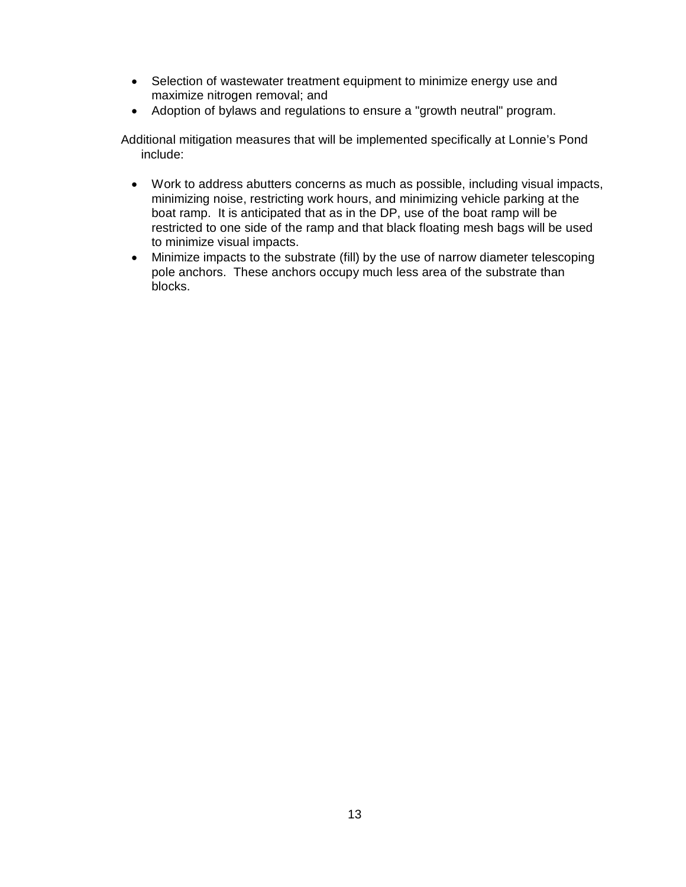- · Selection of wastewater treatment equipment to minimize energy use and maximize nitrogen removal; and
- · Adoption of bylaws and regulations to ensure a "growth neutral" program.

Additional mitigation measures that will be implemented specifically at Lonnie's Pond include:

- · Work to address abutters concerns as much as possible, including visual impacts, minimizing noise, restricting work hours, and minimizing vehicle parking at the boat ramp. It is anticipated that as in the DP, use of the boat ramp will be restricted to one side of the ramp and that black floating mesh bags will be used to minimize visual impacts.
- · Minimize impacts to the substrate (fill) by the use of narrow diameter telescoping pole anchors. These anchors occupy much less area of the substrate than blocks.